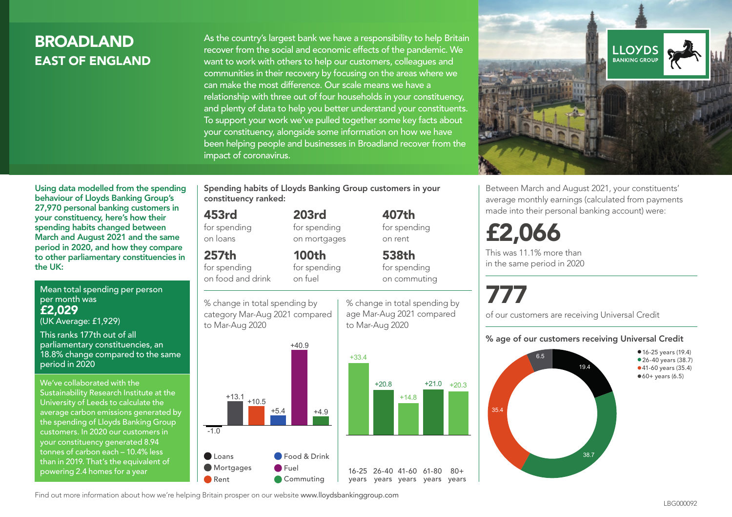# **BROADLAND** EAST OF ENGLAND

As the country's largest bank we have a responsibility to help Britain recover from the social and economic effects of the pandemic. We want to work with others to help our customers, colleagues and communities in their recovery by focusing on the areas where we can make the most difference. Our scale means we have a relationship with three out of four households in your constituency, and plenty of data to help you better understand your constituents. To support your work we've pulled together some key facts about your constituency, alongside some information on how we have been helping people and businesses in Broadland recover from the impact of coronavirus.



Between March and August 2021, your constituents' average monthly earnings (calculated from payments made into their personal banking account) were:

# £2,066

This was 11.1% more than in the same period in 2020

# 777

 $+21.0 +20.3$ 

 $80 +$ 

% change in total spending by age Mar-Aug 2021 compared

407th for spending on rent

538th for spending on commuting

to Mar-Aug 2020

of our customers are receiving Universal Credit

#### % age of our customers receiving Universal Credit



Using data modelled from the spending behaviour of Lloyds Banking Group's 27,970 personal banking customers in your constituency, here's how their spending habits changed between March and August 2021 and the same period in 2020, and how they compare to other parliamentary constituencies in the UK:

Mean total spending per person per month was £2,029 (UK Average: £1,929)

This ranks 177th out of all parliamentary constituencies, an 18.8% change compared to the same period in 2020

We've collaborated with the Sustainability Research Institute at the University of Leeds to calculate the average carbon emissions generated by the spending of Lloyds Banking Group customers. In 2020 our customers in your constituency generated 8.94 tonnes of carbon each – 10.4% less than in 2019. That's the equivalent of powering 2.4 homes for a year

Spending habits of Lloyds Banking Group customers in your constituency ranked:

> 203rd for spending on mortgages

100th

#### 453rd

for spending on loans

## 257th

for spending on food and drink

for spending on fuel

% change in total spending by category Mar-Aug 2021 compared to Mar-Aug 2020



Find out more information about how we're helping Britain prosper on our website www.lloydsbankinggroup.com